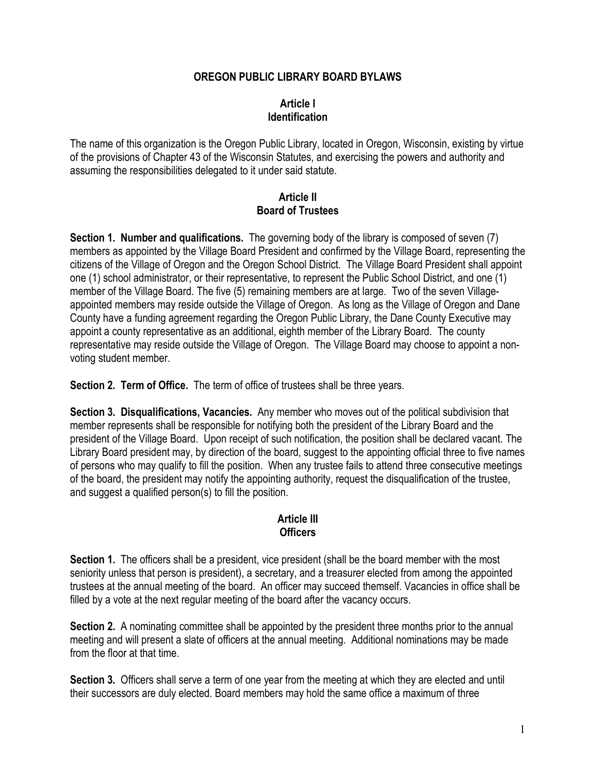# **OREGON PUBLIC LIBRARY BOARD BYLAWS**

# **Article I Identification**

The name of this organization is the Oregon Public Library, located in Oregon, Wisconsin, existing by virtue of the provisions of Chapter 43 of the Wisconsin Statutes, and exercising the powers and authority and assuming the responsibilities delegated to it under said statute.

#### **Article II Board of Trustees**

**Section 1. Number and qualifications.** The governing body of the library is composed of seven (7) members as appointed by the Village Board President and confirmed by the Village Board, representing the citizens of the Village of Oregon and the Oregon School District. The Village Board President shall appoint one (1) school administrator, or their representative, to represent the Public School District, and one (1) member of the Village Board. The five (5) remaining members are at large. Two of the seven Villageappointed members may reside outside the Village of Oregon. As long as the Village of Oregon and Dane County have a funding agreement regarding the Oregon Public Library, the Dane County Executive may appoint a county representative as an additional, eighth member of the Library Board. The county representative may reside outside the Village of Oregon. The Village Board may choose to appoint a nonvoting student member.

**Section 2. Term of Office.** The term of office of trustees shall be three years.

**Section 3. Disqualifications, Vacancies.** Any member who moves out of the political subdivision that member represents shall be responsible for notifying both the president of the Library Board and the president of the Village Board. Upon receipt of such notification, the position shall be declared vacant. The Library Board president may, by direction of the board, suggest to the appointing official three to five names of persons who may qualify to fill the position. When any trustee fails to attend three consecutive meetings of the board, the president may notify the appointing authority, request the disqualification of the trustee, and suggest a qualified person(s) to fill the position.

# **Article III Officers**

**Section 1.** The officers shall be a president, vice president (shall be the board member with the most seniority unless that person is president), a secretary, and a treasurer elected from among the appointed trustees at the annual meeting of the board. An officer may succeed themself. Vacancies in office shall be filled by a vote at the next regular meeting of the board after the vacancy occurs.

**Section 2.** A nominating committee shall be appointed by the president three months prior to the annual meeting and will present a slate of officers at the annual meeting. Additional nominations may be made from the floor at that time.

**Section 3.** Officers shall serve a term of one year from the meeting at which they are elected and until their successors are duly elected. Board members may hold the same office a maximum of three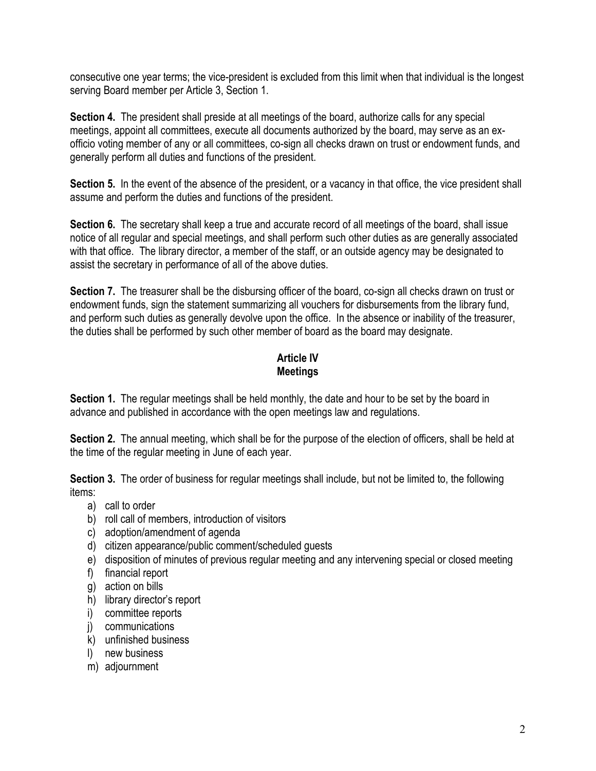consecutive one year terms; the vice-president is excluded from this limit when that individual is the longest serving Board member per Article 3, Section 1.

**Section 4.** The president shall preside at all meetings of the board, authorize calls for any special meetings, appoint all committees, execute all documents authorized by the board, may serve as an exofficio voting member of any or all committees, co-sign all checks drawn on trust or endowment funds, and generally perform all duties and functions of the president.

**Section 5.** In the event of the absence of the president, or a vacancy in that office, the vice president shall assume and perform the duties and functions of the president.

**Section 6.** The secretary shall keep a true and accurate record of all meetings of the board, shall issue notice of all regular and special meetings, and shall perform such other duties as are generally associated with that office. The library director, a member of the staff, or an outside agency may be designated to assist the secretary in performance of all of the above duties.

**Section 7.** The treasurer shall be the disbursing officer of the board, co-sign all checks drawn on trust or endowment funds, sign the statement summarizing all vouchers for disbursements from the library fund, and perform such duties as generally devolve upon the office. In the absence or inability of the treasurer, the duties shall be performed by such other member of board as the board may designate.

# **Article IV Meetings**

**Section 1.** The regular meetings shall be held monthly, the date and hour to be set by the board in advance and published in accordance with the open meetings law and regulations.

**Section 2.** The annual meeting, which shall be for the purpose of the election of officers, shall be held at the time of the regular meeting in June of each year.

**Section 3.** The order of business for regular meetings shall include, but not be limited to, the following items:

- a) call to order
- b) roll call of members, introduction of visitors
- c) adoption/amendment of agenda
- d) citizen appearance/public comment/scheduled guests
- e) disposition of minutes of previous regular meeting and any intervening special or closed meeting
- f) financial report
- g) action on bills
- h) library director's report
- i) committee reports
- j) communications
- k) unfinished business
- l) new business
- m) adjournment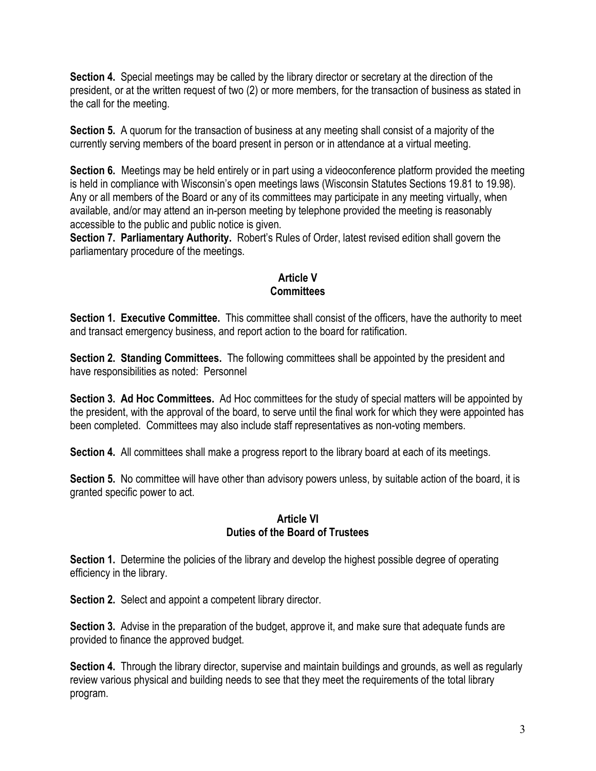**Section 4.** Special meetings may be called by the library director or secretary at the direction of the president, or at the written request of two (2) or more members, for the transaction of business as stated in the call for the meeting.

**Section 5.** A quorum for the transaction of business at any meeting shall consist of a majority of the currently serving members of the board present in person or in attendance at a virtual meeting.

**Section 6.** Meetings may be held entirely or in part using a videoconference platform provided the meeting is held in compliance with Wisconsin's open meetings laws (Wisconsin Statutes Sections 19.81 to 19.98). Any or all members of the Board or any of its committees may participate in any meeting virtually, when available, and/or may attend an in-person meeting by telephone provided the meeting is reasonably accessible to the public and public notice is given.

**Section 7. Parliamentary Authority.** Robert's Rules of Order, latest revised edition shall govern the parliamentary procedure of the meetings.

# **Article V Committees**

**Section 1. Executive Committee.** This committee shall consist of the officers, have the authority to meet and transact emergency business, and report action to the board for ratification.

**Section 2. Standing Committees.** The following committees shall be appointed by the president and have responsibilities as noted: Personnel

**Section 3. Ad Hoc Committees.** Ad Hoc committees for the study of special matters will be appointed by the president, with the approval of the board, to serve until the final work for which they were appointed has been completed. Committees may also include staff representatives as non-voting members.

**Section 4.** All committees shall make a progress report to the library board at each of its meetings.

**Section 5.** No committee will have other than advisory powers unless, by suitable action of the board, it is granted specific power to act.

### **Article VI Duties of the Board of Trustees**

**Section 1.** Determine the policies of the library and develop the highest possible degree of operating efficiency in the library.

**Section 2.** Select and appoint a competent library director.

**Section 3.** Advise in the preparation of the budget, approve it, and make sure that adequate funds are provided to finance the approved budget.

**Section 4.** Through the library director, supervise and maintain buildings and grounds, as well as regularly review various physical and building needs to see that they meet the requirements of the total library program.